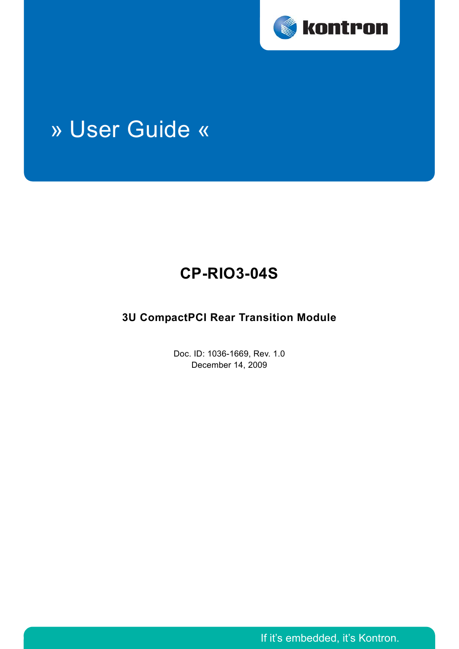

# » User Guide «

# **CP-RIO3-04S**

# **3U CompactPCI Rear Transition Module**

Doc. ID: 1036-1669, Rev. 1.0 December 14, 2009

If it's embedded, it's Kontron.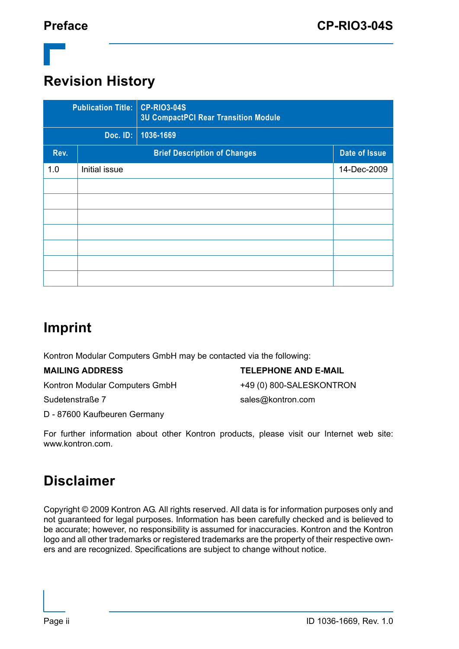# <span id="page-1-0"></span>**Revision History**

| <b>Publication Title:</b> |               | <b>CP-RIO3-04S</b><br><b>3U CompactPCI Rear Transition Module</b> |                      |  |
|---------------------------|---------------|-------------------------------------------------------------------|----------------------|--|
|                           |               | Doc. ID:   1036-1669                                              |                      |  |
| Rev.                      |               | <b>Brief Description of Changes</b>                               | <b>Date of Issue</b> |  |
| 1.0                       | Initial issue |                                                                   | 14-Dec-2009          |  |
|                           |               |                                                                   |                      |  |
|                           |               |                                                                   |                      |  |
|                           |               |                                                                   |                      |  |
|                           |               |                                                                   |                      |  |
|                           |               |                                                                   |                      |  |
|                           |               |                                                                   |                      |  |
|                           |               |                                                                   |                      |  |

# <span id="page-1-1"></span>**Imprint**

Kontron Modular Computers GmbH may be contacted via the following:

## **MAILING ADDRESS TELEPHONE AND E-MAIL**

Kontron Modular Computers GmbH +49 (0) 800-SALESKONTRON

Sudetenstraße 7 sales@kontron.com

D - 87600 Kaufbeuren Germany

For further information about other Kontron products, please visit our Internet web site: www.kontron.com.

# <span id="page-1-2"></span>**Disclaimer**

Copyright © 2009 Kontron AG. All rights reserved. All data is for information purposes only and not guaranteed for legal purposes. Information has been carefully checked and is believed to be accurate; however, no responsibility is assumed for inaccuracies. Kontron and the Kontron logo and all other trademarks or registered trademarks are the property of their respective owners and are recognized. Specifications are subject to change without notice.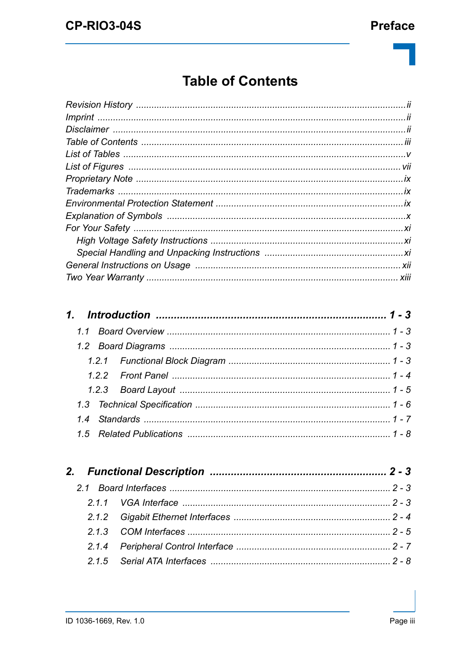# **Table of Contents**

<span id="page-2-0"></span>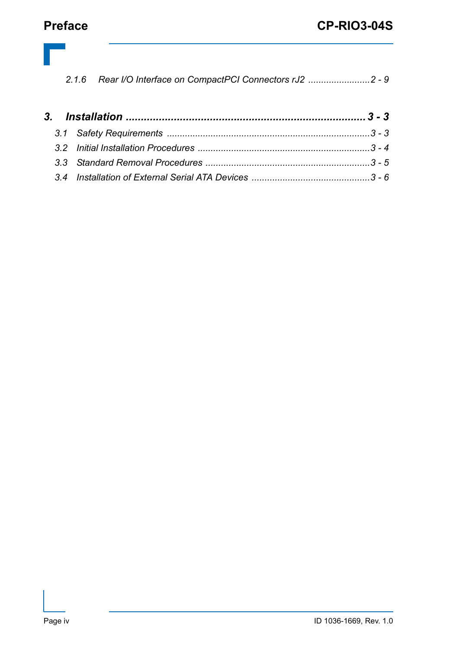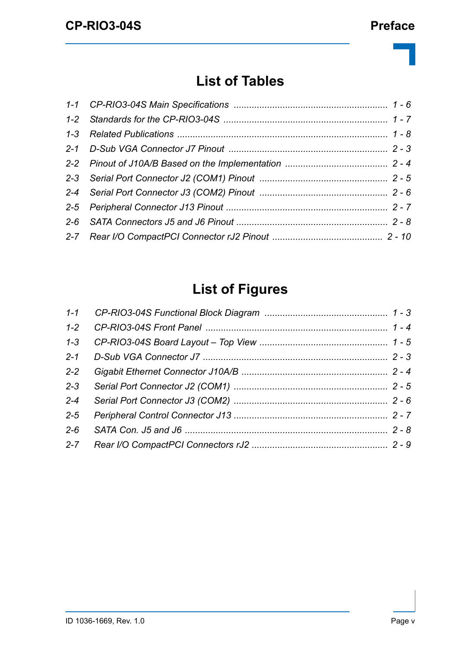# **List of Tables**

<span id="page-4-0"></span>

# **List of Figures**

| $1 - 2$ |  |
|---------|--|
| $1 - 3$ |  |
| $2 - 1$ |  |
| $2 - 2$ |  |
| $2 - 3$ |  |
| $2 - 4$ |  |
| $2 - 5$ |  |
| $2 - 6$ |  |
|         |  |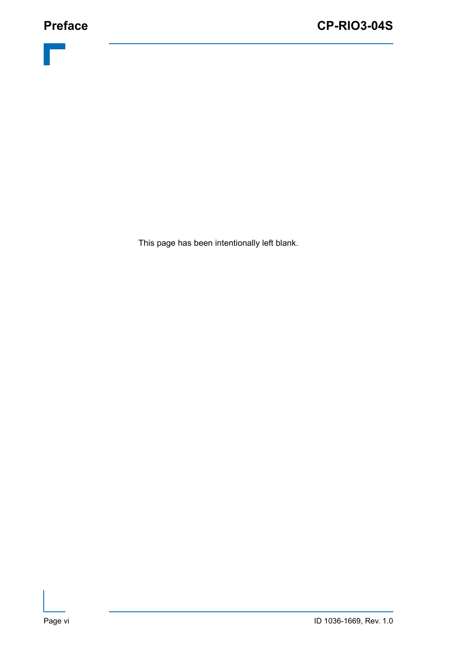l.

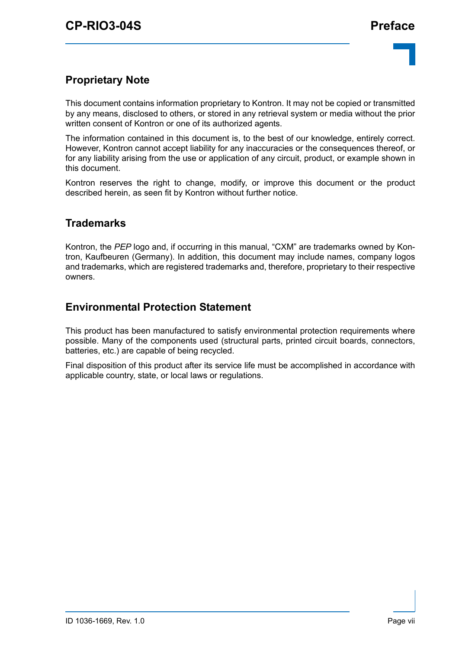

# <span id="page-6-0"></span>**Proprietary Note**

This document contains information proprietary to Kontron. It may not be copied or transmitted by any means, disclosed to others, or stored in any retrieval system or media without the prior written consent of Kontron or one of its authorized agents.

The information contained in this document is, to the best of our knowledge, entirely correct. However, Kontron cannot accept liability for any inaccuracies or the consequences thereof, or for any liability arising from the use or application of any circuit, product, or example shown in this document.

Kontron reserves the right to change, modify, or improve this document or the product described herein, as seen fit by Kontron without further notice.

# <span id="page-6-1"></span>**Trademarks**

Kontron, the *PEP* logo and, if occurring in this manual, "CXM" are trademarks owned by Kontron, Kaufbeuren (Germany). In addition, this document may include names, company logos and trademarks, which are registered trademarks and, therefore, proprietary to their respective owners.

# <span id="page-6-2"></span>**Environmental Protection Statement**

This product has been manufactured to satisfy environmental protection requirements where possible. Many of the components used (structural parts, printed circuit boards, connectors, batteries, etc.) are capable of being recycled.

Final disposition of this product after its service life must be accomplished in accordance with applicable country, state, or local laws or regulations.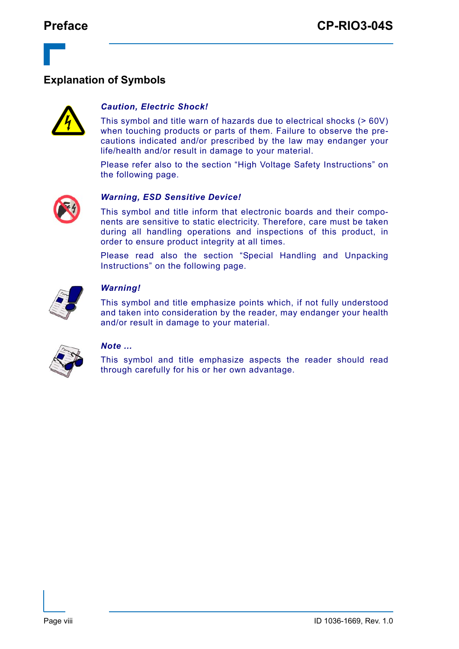# <span id="page-7-0"></span>**Explanation of Symbols**



# *Caution, Electric Shock!*

This symbol and title warn of hazards due to electrical shocks (> 60V) when touching products or parts of them. Failure to observe the precautions indicated and/or prescribed by the law may endanger your life/health and/or result in damage to your material.

Please refer also to the section "High Voltage Safety Instructions" on the following page.



### *Warning, ESD Sensitive Device!*

This symbol and title inform that electronic boards and their components are sensitive to static electricity. Therefore, care must be taken during all handling operations and inspections of this product, in order to ensure product integrity at all times.

Please read also the section "Special Handling and Unpacking Instructions" on the following page.



# *Warning!*

This symbol and title emphasize points which, if not fully understood and taken into consideration by the reader, may endanger your health and/or result in damage to your material.



## *Note ...*

This symbol and title emphasize aspects the reader should read through carefully for his or her own advantage.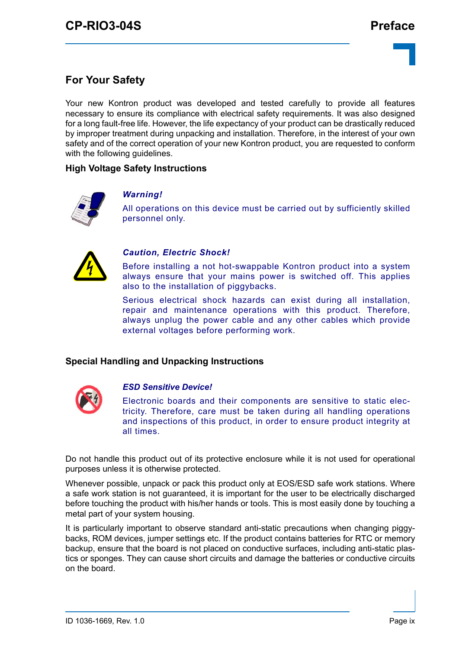

# <span id="page-8-0"></span>**For Your Safety**

Your new Kontron product was developed and tested carefully to provide all features necessary to ensure its compliance with electrical safety requirements. It was also designed for a long fault-free life. However, the life expectancy of your product can be drastically reduced by improper treatment during unpacking and installation. Therefore, in the interest of your own safety and of the correct operation of your new Kontron product, you are requested to conform with the following quidelines.

# <span id="page-8-1"></span>**High Voltage Safety Instructions**



# *Warning!*

All operations on this device must be carried out by sufficiently skilled personnel only.



# *Caution, Electric Shock!*

Before installing a not hot-swappable Kontron product into a system always ensure that your mains power is switched off. This applies also to the installation of piggybacks.

Serious electrical shock hazards can exist during all installation, repair and maintenance operations with this product. Therefore, always unplug the power cable and any other cables which provide external voltages before performing work.

# <span id="page-8-2"></span>**Special Handling and Unpacking Instructions**



### *ESD Sensitive Device!*

Electronic boards and their components are sensitive to static electricity. Therefore, care must be taken during all handling operations and inspections of this product, in order to ensure product integrity at all times.

Do not handle this product out of its protective enclosure while it is not used for operational purposes unless it is otherwise protected.

Whenever possible, unpack or pack this product only at EOS/ESD safe work stations. Where a safe work station is not guaranteed, it is important for the user to be electrically discharged before touching the product with his/her hands or tools. This is most easily done by touching a metal part of your system housing.

It is particularly important to observe standard anti-static precautions when changing piggybacks, ROM devices, jumper settings etc. If the product contains batteries for RTC or memory backup, ensure that the board is not placed on conductive surfaces, including anti-static plastics or sponges. They can cause short circuits and damage the batteries or conductive circuits on the board.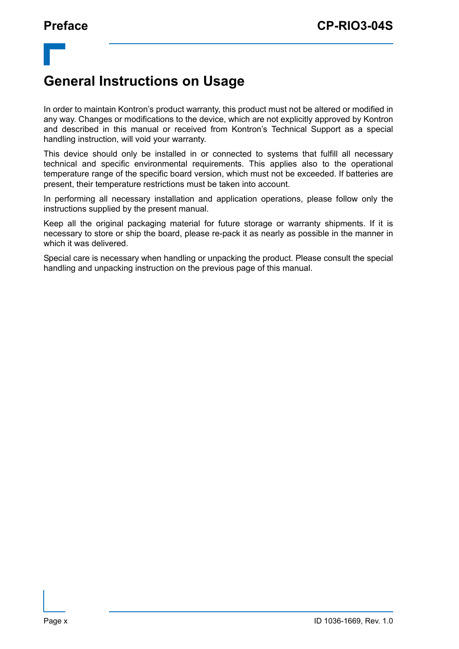# <span id="page-9-0"></span>**General Instructions on Usage**

In order to maintain Kontron's product warranty, this product must not be altered or modified in any way. Changes or modifications to the device, which are not explicitly approved by Kontron and described in this manual or received from Kontron's Technical Support as a special handling instruction, will void your warranty.

This device should only be installed in or connected to systems that fulfill all necessary technical and specific environmental requirements. This applies also to the operational temperature range of the specific board version, which must not be exceeded. If batteries are present, their temperature restrictions must be taken into account.

In performing all necessary installation and application operations, please follow only the instructions supplied by the present manual.

Keep all the original packaging material for future storage or warranty shipments. If it is necessary to store or ship the board, please re-pack it as nearly as possible in the manner in which it was delivered.

Special care is necessary when handling or unpacking the product. Please consult the special handling and unpacking instruction on the previous page of this manual.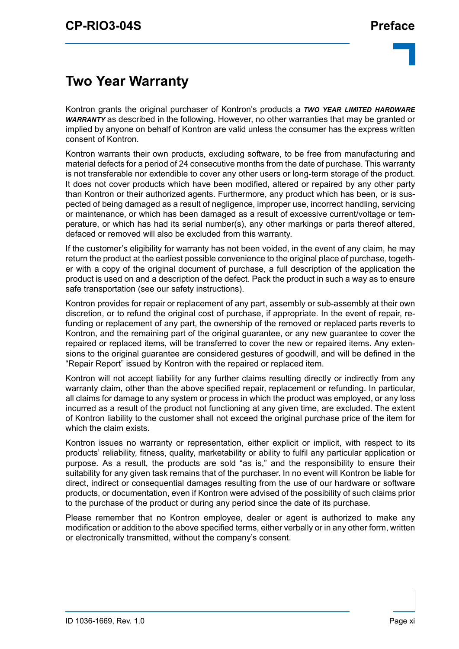

# <span id="page-10-0"></span>**Two Year Warranty**

Kontron grants the original purchaser of Kontron's products a *TWO YEAR LIMITED HARDWARE WARRANTY* as described in the following. However, no other warranties that may be granted or implied by anyone on behalf of Kontron are valid unless the consumer has the express written consent of Kontron.

Kontron warrants their own products, excluding software, to be free from manufacturing and material defects for a period of 24 consecutive months from the date of purchase. This warranty is not transferable nor extendible to cover any other users or long-term storage of the product. It does not cover products which have been modified, altered or repaired by any other party than Kontron or their authorized agents. Furthermore, any product which has been, or is suspected of being damaged as a result of negligence, improper use, incorrect handling, servicing or maintenance, or which has been damaged as a result of excessive current/voltage or temperature, or which has had its serial number(s), any other markings or parts thereof altered, defaced or removed will also be excluded from this warranty.

If the customer's eligibility for warranty has not been voided, in the event of any claim, he may return the product at the earliest possible convenience to the original place of purchase, together with a copy of the original document of purchase, a full description of the application the product is used on and a description of the defect. Pack the product in such a way as to ensure safe transportation (see our safety instructions).

Kontron provides for repair or replacement of any part, assembly or sub-assembly at their own discretion, or to refund the original cost of purchase, if appropriate. In the event of repair, refunding or replacement of any part, the ownership of the removed or replaced parts reverts to Kontron, and the remaining part of the original guarantee, or any new guarantee to cover the repaired or replaced items, will be transferred to cover the new or repaired items. Any extensions to the original guarantee are considered gestures of goodwill, and will be defined in the "Repair Report" issued by Kontron with the repaired or replaced item.

Kontron will not accept liability for any further claims resulting directly or indirectly from any warranty claim, other than the above specified repair, replacement or refunding. In particular, all claims for damage to any system or process in which the product was employed, or any loss incurred as a result of the product not functioning at any given time, are excluded. The extent of Kontron liability to the customer shall not exceed the original purchase price of the item for which the claim exists.

Kontron issues no warranty or representation, either explicit or implicit, with respect to its products' reliability, fitness, quality, marketability or ability to fulfil any particular application or purpose. As a result, the products are sold "as is," and the responsibility to ensure their suitability for any given task remains that of the purchaser. In no event will Kontron be liable for direct, indirect or consequential damages resulting from the use of our hardware or software products, or documentation, even if Kontron were advised of the possibility of such claims prior to the purchase of the product or during any period since the date of its purchase.

Please remember that no Kontron employee, dealer or agent is authorized to make any modification or addition to the above specified terms, either verbally or in any other form, written or electronically transmitted, without the company's consent.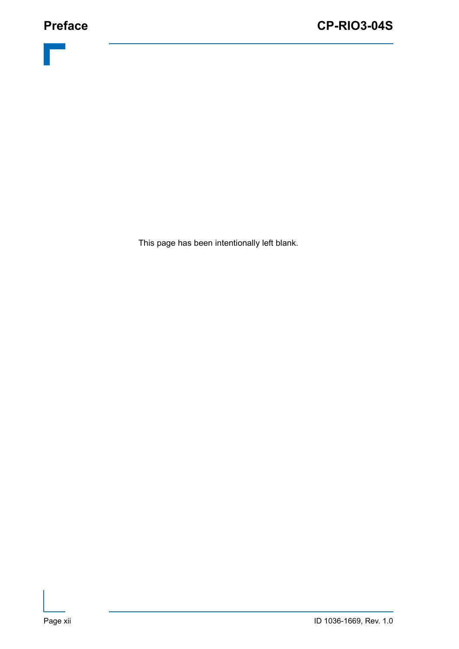$\overline{\phantom{a}}$ 

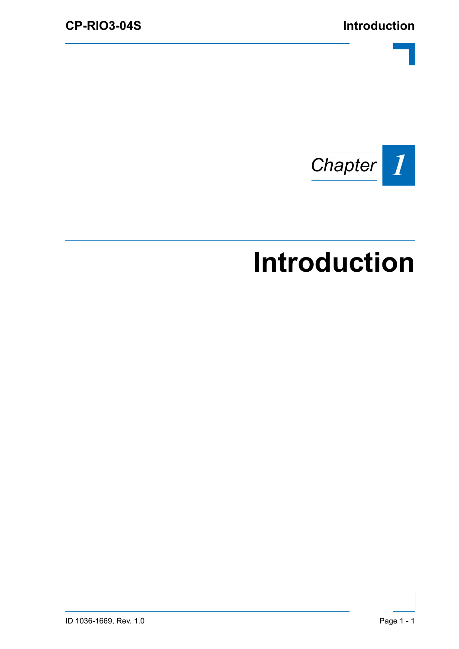

# **Introduction**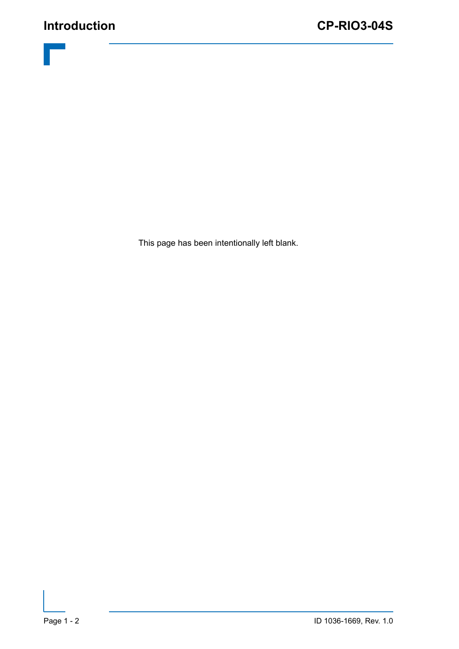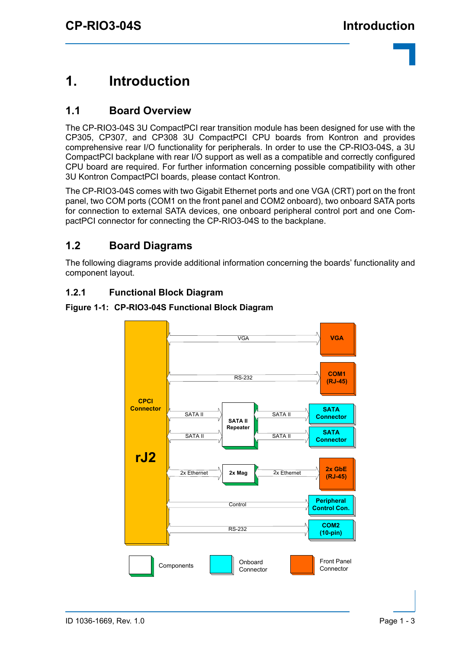# <span id="page-14-0"></span>**1. Introduction**

# <span id="page-14-1"></span>**1.1 Board Overview**

The CP-RIO3-04S 3U CompactPCI rear transition module has been designed for use with the CP305, CP307, and CP308 3U CompactPCI CPU boards from Kontron and provides comprehensive rear I/O functionality for peripherals. In order to use the CP-RIO3-04S, a 3U CompactPCI backplane with rear I/O support as well as a compatible and correctly configured CPU board are required. For further information concerning possible compatibility with other 3U Kontron CompactPCI boards, please contact Kontron.

The CP-RIO3-04S comes with two Gigabit Ethernet ports and one VGA (CRT) port on the front panel, two COM ports (COM1 on the front panel and COM2 onboard), two onboard SATA ports for connection to external SATA devices, one onboard peripheral control port and one CompactPCI connector for connecting the CP-RIO3-04S to the backplane.

# <span id="page-14-2"></span>**1.2 Board Diagrams**

The following diagrams provide additional information concerning the boards' functionality and component layout.

# <span id="page-14-3"></span>**1.2.1 Functional Block Diagram**

### <span id="page-14-4"></span>**Figure 1-1: CP-RIO3-04S Functional Block Diagram**

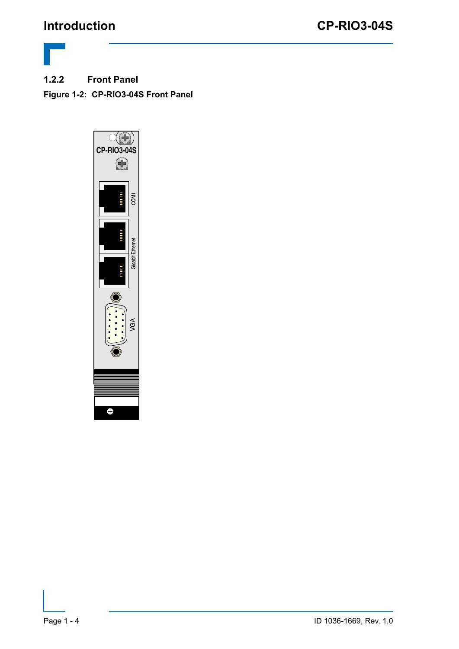

<span id="page-15-0"></span>**1.2.2 Front Panel**

<span id="page-15-1"></span>**Figure 1-2: CP-RIO3-04S Front Panel**

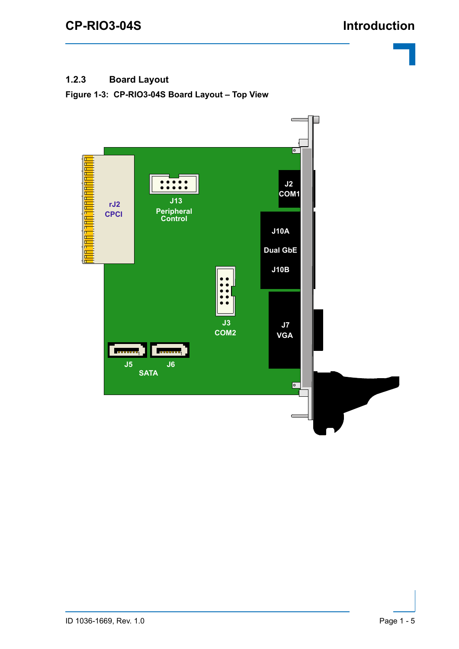

# <span id="page-16-0"></span>**1.2.3 Board Layout**

<span id="page-16-1"></span>**Figure 1-3: CP-RIO3-04S Board Layout – Top View**

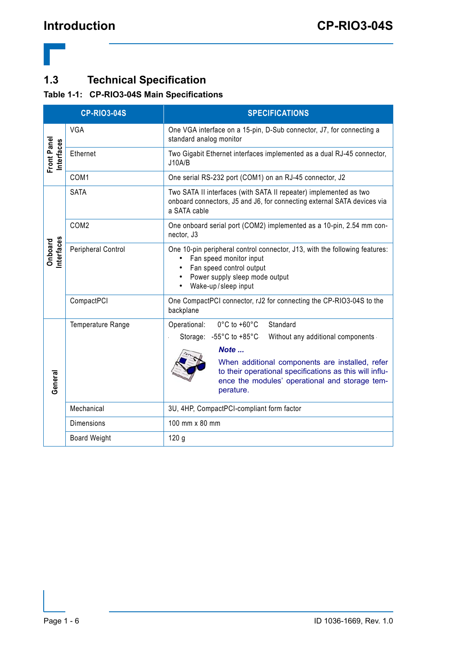# <span id="page-17-0"></span>**1.3 Technical Specification**

# <span id="page-17-1"></span>**Table 1-1: CP-RIO3-04S Main Specifications**

| <b>CP-RIO3-04S</b>               |                     | <b>SPECIFICATIONS</b>                                                                                                                                                                                                                                                                                              |  |  |
|----------------------------------|---------------------|--------------------------------------------------------------------------------------------------------------------------------------------------------------------------------------------------------------------------------------------------------------------------------------------------------------------|--|--|
| Front Panel<br><b>Interfaces</b> | <b>VGA</b>          | One VGA interface on a 15-pin, D-Sub connector, J7, for connecting a<br>standard analog monitor                                                                                                                                                                                                                    |  |  |
|                                  | Ethernet            | Two Gigabit Ethernet interfaces implemented as a dual RJ-45 connector,<br><b>J10A/B</b>                                                                                                                                                                                                                            |  |  |
|                                  | COM1                | One serial RS-232 port (COM1) on an RJ-45 connector, J2                                                                                                                                                                                                                                                            |  |  |
| <b>Interfaces</b><br>Onboard     | <b>SATA</b>         | Two SATA II interfaces (with SATA II repeater) implemented as two<br>onboard connectors, J5 and J6, for connecting external SATA devices via<br>a SATA cable                                                                                                                                                       |  |  |
|                                  | COM <sub>2</sub>    | One onboard serial port (COM2) implemented as a 10-pin, 2.54 mm con-<br>nector, J3                                                                                                                                                                                                                                 |  |  |
|                                  | Peripheral Control  | One 10-pin peripheral control connector, J13, with the following features:<br>Fan speed monitor input<br>Fan speed control output<br>Power supply sleep mode output<br>Wake-up/sleep input                                                                                                                         |  |  |
|                                  | CompactPCI          | One CompactPCI connector, rJ2 for connecting the CP-RIO3-04S to the<br>backplane                                                                                                                                                                                                                                   |  |  |
| General                          | Temperature Range   | $0^{\circ}$ C to +60 $^{\circ}$ C<br>Standard<br>Operational:<br>Storage: -55°C to +85°C<br>Without any additional components<br>Note<br>When additional components are installed, refer<br>to their operational specifications as this will influ-<br>ence the modules' operational and storage tem-<br>perature. |  |  |
|                                  | Mechanical          | 3U, 4HP, CompactPCI-compliant form factor                                                                                                                                                                                                                                                                          |  |  |
|                                  | <b>Dimensions</b>   | 100 mm x 80 mm                                                                                                                                                                                                                                                                                                     |  |  |
|                                  | <b>Board Weight</b> | 120 <sub>g</sub>                                                                                                                                                                                                                                                                                                   |  |  |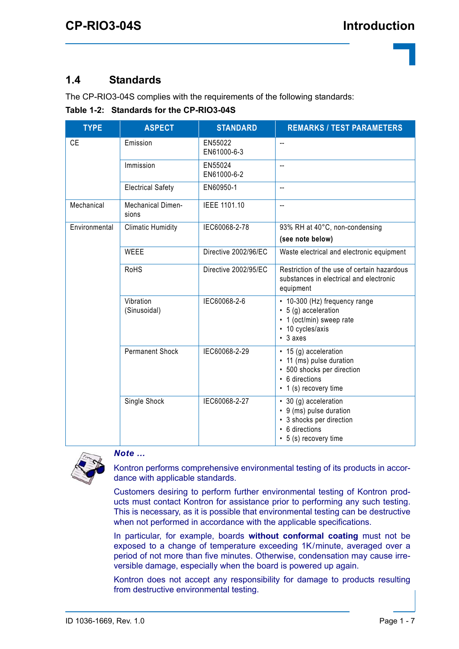

# <span id="page-18-0"></span>**1.4 Standards**

The CP-RIO3-04S complies with the requirements of the following standards:

### <span id="page-18-1"></span>**Table 1-2: Standards for the CP-RIO3-04S**

| <b>TYPE</b>   | <b>ASPECT</b>                     | <b>STANDARD</b>        | <b>REMARKS / TEST PARAMETERS</b>                                                                                                 |
|---------------|-----------------------------------|------------------------|----------------------------------------------------------------------------------------------------------------------------------|
| <b>CE</b>     | Emission                          | EN55022<br>EN61000-6-3 | $-$                                                                                                                              |
|               | Immission                         | EN55024<br>EN61000-6-2 | $\overline{a}$                                                                                                                   |
|               | <b>Electrical Safety</b>          | EN60950-1              | $-$                                                                                                                              |
| Mechanical    | <b>Mechanical Dimen-</b><br>sions | <b>IEEE 1101.10</b>    | $-$                                                                                                                              |
| Environmental | <b>Climatic Humidity</b>          | IEC60068-2-78          | 93% RH at 40°C, non-condensing                                                                                                   |
|               |                                   |                        | (see note below)                                                                                                                 |
|               | <b>WEEE</b>                       | Directive 2002/96/EC   | Waste electrical and electronic equipment                                                                                        |
|               | <b>RoHS</b>                       | Directive 2002/95/EC   | Restriction of the use of certain hazardous<br>substances in electrical and electronic<br>equipment                              |
|               | Vibration<br>(Sinusoidal)         | IEC60068-2-6           | • 10-300 (Hz) frequency range<br>$\cdot$ 5 (g) acceleration<br>• 1 (oct/min) sweep rate<br>• 10 cycles/axis<br>$\cdot$ 3 axes    |
|               | <b>Permanent Shock</b>            | IEC60068-2-29          | • 15 (g) acceleration<br>• 11 (ms) pulse duration<br>• 500 shocks per direction<br>• 6 directions<br>$\cdot$ 1 (s) recovery time |
|               | Single Shock                      | IEC60068-2-27          | $\cdot$ 30 (g) acceleration<br>• 9 (ms) pulse duration<br>• 3 shocks per direction<br>• 6 directions<br>• 5 (s) recovery time    |



### *Note ...*

Kontron performs comprehensive environmental testing of its products in accordance with applicable standards.

Customers desiring to perform further environmental testing of Kontron products must contact Kontron for assistance prior to performing any such testing. This is necessary, as it is possible that environmental testing can be destructive when not performed in accordance with the applicable specifications.

In particular, for example, boards **without conformal coating** must not be exposed to a change of temperature exceeding 1K/minute, averaged over a period of not more than five minutes. Otherwise, condensation may cause irreversible damage, especially when the board is powered up again.

Kontron does not accept any responsibility for damage to products resulting from destructive environmental testing.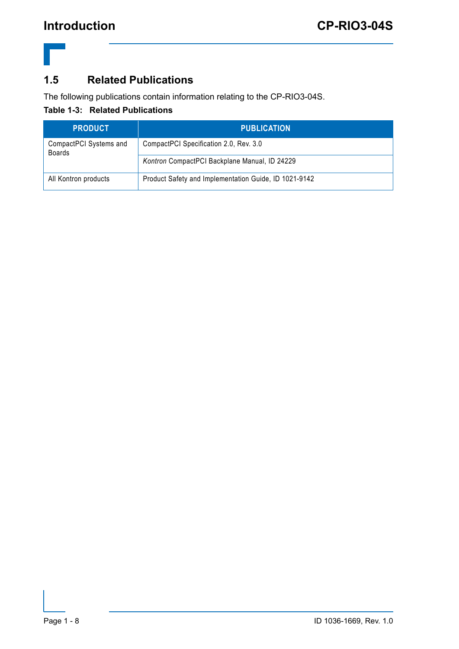# <span id="page-19-0"></span>**1.5 Related Publications**

The following publications contain information relating to the CP-RIO3-04S.

# <span id="page-19-1"></span>**Table 1-3: Related Publications**

| <b>PRODUCT</b>                          | <b>PUBLICATION</b>                                    |  |
|-----------------------------------------|-------------------------------------------------------|--|
| CompactPCI Systems and<br><b>Boards</b> | CompactPCI Specification 2.0, Rev. 3.0                |  |
|                                         | Kontron CompactPCI Backplane Manual, ID 24229         |  |
| All Kontron products                    | Product Safety and Implementation Guide, ID 1021-9142 |  |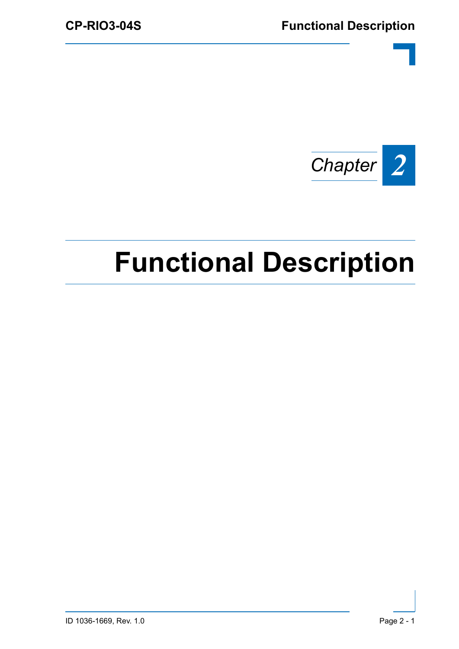



# **Functional Description**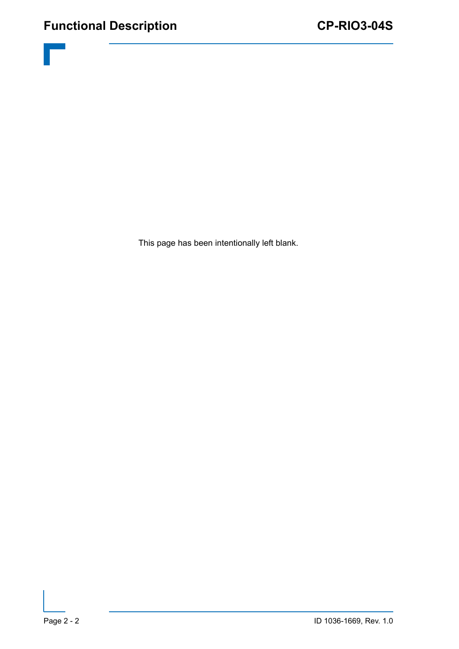

This page has been intentionally left blank.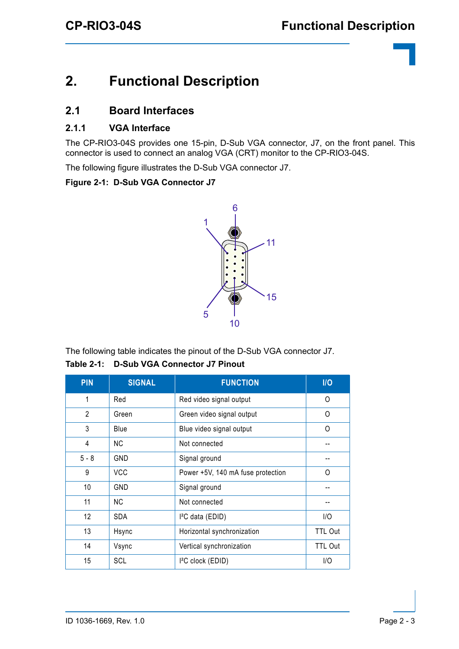# <span id="page-22-0"></span>**2. Functional Description**

# <span id="page-22-1"></span>**2.1 Board Interfaces**

# <span id="page-22-2"></span>**2.1.1 VGA Interface**

The CP-RIO3-04S provides one 15-pin, D-Sub VGA connector, J7, on the front panel. This connector is used to connect an analog VGA (CRT) monitor to the CP-RIO3-04S.

The following figure illustrates the D-Sub VGA connector J7.

## <span id="page-22-4"></span>**Figure 2-1: D-Sub VGA Connector J7**



The following table indicates the pinout of the D-Sub VGA connector J7.

<span id="page-22-3"></span>

| <b>PIN</b>     | <b>SIGNAL</b> | <b>FUNCTION</b>                   | I/O     |
|----------------|---------------|-----------------------------------|---------|
| 1              | Red           | Red video signal output           | 0       |
| $\mathfrak{p}$ | Green         | Green video signal output         | O       |
| 3              | Blue          | Blue video signal output          | 0       |
| 4              | ΝC            | Not connected                     |         |
| $5 - 8$        | GND           | Signal ground                     |         |
| 9              | <b>VCC</b>    | Power +5V, 140 mA fuse protection | Ω       |
| 10             | GND           | Signal ground                     |         |
| 11             | <b>NC</b>     | Not connected                     |         |
| 12             | <b>SDA</b>    | <sup>2</sup> C data (EDID)        | I/O     |
| 13             | Hsync         | Horizontal synchronization        | TTL Out |
| 14             | Vsync         | Vertical synchronization          | TTL Out |
| 15             | SCL           | <sup>2</sup> C clock (EDID)       | I/O     |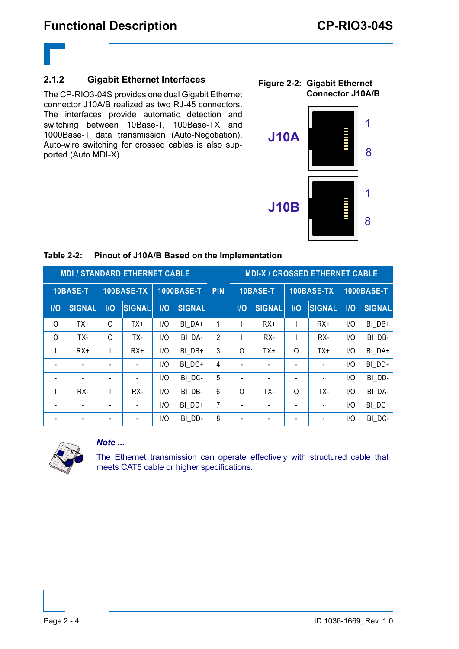8

11111111



# <span id="page-23-0"></span>**2.1.2 Gigabit Ethernet Interfaces**

The CP-RIO3-04S provides one dual Gigabit Ethernet connector J10A/B realized as two RJ-45 connectors. The interfaces provide automatic detection and switching between 10Base-T, 100Base-TX and 1000Base-T data transmission (Auto-Negotiation). Auto-wire switching for crossed cables is also supported (Auto MDI-X).

<span id="page-23-2"></span>

**J10B**

| <b>MDI / STANDARD ETHERNET CABLE</b> |               |                                 |                          |     | <b>MDI-X / CROSSED ETHERNET CABLE</b> |                |                          |                          |            |               |                   |               |
|--------------------------------------|---------------|---------------------------------|--------------------------|-----|---------------------------------------|----------------|--------------------------|--------------------------|------------|---------------|-------------------|---------------|
| 10BASE-T                             |               | 100BASE-TX<br><b>1000BASE-T</b> |                          |     | <b>PIN</b>                            |                | 10BASE-T                 |                          | 100BASE-TX |               | <b>1000BASE-T</b> |               |
| I/O                                  | <b>SIGNAL</b> | I/O                             | <b>SIGNAL</b>            | I/O | <b>SIGNAL</b>                         |                | I/O                      | <b>SIGNAL</b>            | I/O        | <b>SIGNAL</b> | I/O               | <b>SIGNAL</b> |
| $\Omega$                             | $TX+$         | $\Omega$                        | $TX+$                    | I/O | BI DA+                                | 1              |                          | $RX+$                    |            | $RX+$         | I/O               | BI DB+        |
| $\Omega$                             | TX-           | $\circ$                         | TX-                      | I/O | BI DA-                                | $\overline{2}$ |                          | RX-                      |            | RX-           | I/O               | BI DB-        |
|                                      | $RX+$         |                                 | $RX+$                    | I/O | BI DB+                                | 3              | $\Omega$                 | $TX+$                    | $\circ$    | $TX+$         | I/O               | BI DA+        |
|                                      |               | $\overline{\phantom{0}}$        |                          | I/O | BI DC+                                | 4              |                          |                          |            |               | I/O               | BI DD+        |
| $\overline{\phantom{a}}$             |               | $\overline{\phantom{0}}$        | $\overline{\phantom{a}}$ | I/O | BI DC-                                | 5              | $\overline{\phantom{0}}$ | $\overline{\phantom{a}}$ |            |               | I/O               | BI DD-        |
|                                      | RX-           |                                 | RX-                      | I/O | BI DB-                                | 6              | $\Omega$                 | TX-                      | $\Omega$   | TX-           | I/O               | BI DA-        |
|                                      |               | $\overline{\phantom{0}}$        | $\overline{\phantom{a}}$ | I/O | BI DD+                                | 7              |                          | $\overline{\phantom{a}}$ |            |               | I/O               | BI DC+        |
| $\qquad \qquad \blacksquare$         |               | $\overline{\phantom{a}}$        | $\overline{\phantom{a}}$ | I/O | BI DD-                                | 8              | $\overline{\phantom{0}}$ | $\overline{\phantom{a}}$ | ٠          |               | I/O               | BI DC-        |

### <span id="page-23-1"></span>**Table 2-2: Pinout of J10A/B Based on the Implementation**



# *Note ...*

The Ethernet transmission can operate effectively with structured cable that meets CAT5 cable or higher specifications.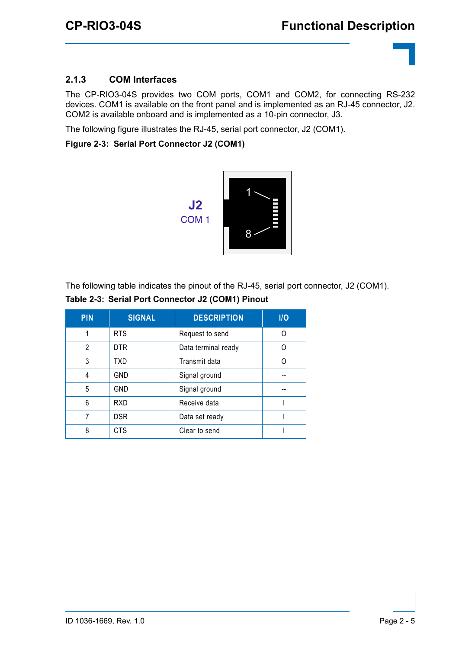# <span id="page-24-0"></span>**2.1.3 COM Interfaces**

The CP-RIO3-04S provides two COM ports, COM1 and COM2, for connecting RS-232 devices. COM1 is available on the front panel and is implemented as an RJ-45 connector, J2. COM2 is available onboard and is implemented as a 10-pin connector, J3.

The following figure illustrates the RJ-45, serial port connector, J2 (COM1).

<span id="page-24-2"></span>**Figure 2-3: Serial Port Connector J2 (COM1)**



<span id="page-24-1"></span>The following table indicates the pinout of the RJ-45, serial port connector, J2 (COM1). **Table 2-3: Serial Port Connector J2 (COM1) Pinout**

| <b>PIN</b>     | <b>SIGNAL</b> | <b>DESCRIPTION</b>  | I/O |
|----------------|---------------|---------------------|-----|
|                | <b>RTS</b>    | Request to send     | ∩   |
| $\mathfrak{p}$ | <b>DTR</b>    | Data terminal ready |     |
| 3              | <b>TXD</b>    | Transmit data       |     |
| 4              | <b>GND</b>    | Signal ground       |     |
| 5              | <b>GND</b>    | Signal ground       |     |
| 6              | <b>RXD</b>    | Receive data        |     |
|                | <b>DSR</b>    | Data set ready      |     |
| 8              | <b>CTS</b>    | Clear to send       |     |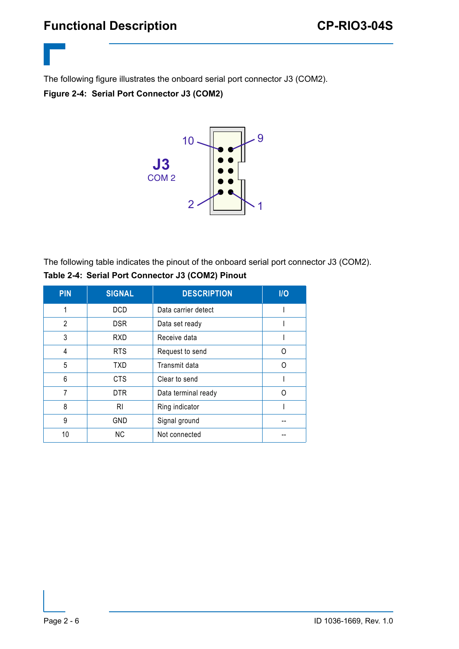<span id="page-25-1"></span>The following figure illustrates the onboard serial port connector J3 (COM2). **Figure 2-4: Serial Port Connector J3 (COM2)**



<span id="page-25-0"></span>The following table indicates the pinout of the onboard serial port connector J3 (COM2). **Table 2-4: Serial Port Connector J3 (COM2) Pinout**

| <b>PIN</b>     | <b>SIGNAL</b> | <b>DESCRIPTION</b>  | I/O |
|----------------|---------------|---------------------|-----|
| 1              | <b>DCD</b>    | Data carrier detect |     |
| $\overline{2}$ | <b>DSR</b>    | Data set ready      |     |
| 3              | RXD           | Receive data        |     |
| 4              | <b>RTS</b>    | Request to send     | ∩   |
| 5              | <b>TXD</b>    | Transmit data       | ∩   |
| 6              | <b>CTS</b>    | Clear to send       |     |
| 7              | <b>DTR</b>    | Data terminal ready | ∩   |
| 8              | RI            | Ring indicator      |     |
| 9              | <b>GND</b>    | Signal ground       |     |
| 10             | <b>NC</b>     | Not connected       |     |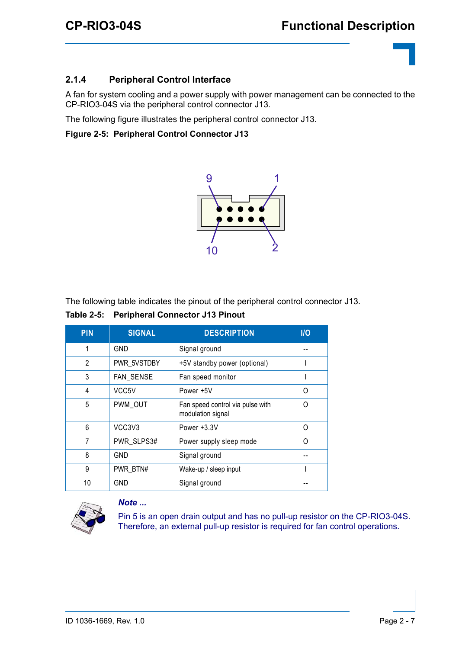# <span id="page-26-0"></span>**2.1.4 Peripheral Control Interface**

A fan for system cooling and a power supply with power management can be connected to the CP-RIO3-04S via the peripheral control connector J13.

The following figure illustrates the peripheral control connector J13.

<span id="page-26-2"></span>**Figure 2-5: Peripheral Control Connector J13**



<span id="page-26-1"></span>The following table indicates the pinout of the peripheral control connector J13. **Table 2-5: Peripheral Connector J13 Pinout**

| <b>PIN</b>     | <b>SIGNAL</b> | <b>DESCRIPTION</b>                                    | I/O |
|----------------|---------------|-------------------------------------------------------|-----|
| 1              | GND           | Signal ground                                         |     |
| $\mathfrak{p}$ | PWR 5VSTDBY   | +5V standby power (optional)                          |     |
| 3              | FAN_SENSE     | Fan speed monitor                                     |     |
| 4              | VCC5V         | Power +5V                                             | Ω   |
| 5              | PWM OUT       | Fan speed control via pulse with<br>modulation signal | Ω   |
| 6              | VCC3V3        | Power $+3.3V$                                         | ∩   |
| 7              | PWR_SLPS3#    | Power supply sleep mode                               | ∩   |
| 8              | GND           | Signal ground                                         |     |
| 9              | PWR BTN#      | Wake-up / sleep input                                 |     |
| 10             | GND           | Signal ground                                         |     |



*Note ...*

Pin 5 is an open drain output and has no pull-up resistor on the CP-RIO3-04S. Therefore, an external pull-up resistor is required for fan control operations.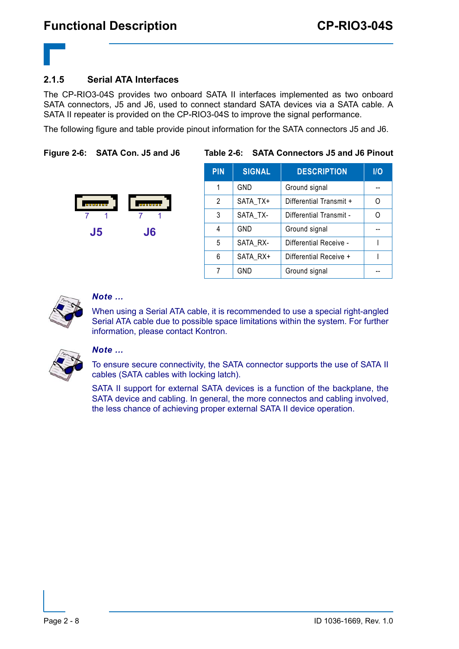

# <span id="page-27-0"></span>**2.1.5 Serial ATA Interfaces**

The CP-RIO3-04S provides two onboard SATA II interfaces implemented as two onboard SATA connectors, J5 and J6, used to connect standard SATA devices via a SATA cable. A SATA II repeater is provided on the CP-RIO3-04S to improve the signal performance.

The following figure and table provide pinout information for the SATA connectors J5 and J6.

<span id="page-27-2"></span>**Figure 2-6: SATA Con. J5 and J6**



<span id="page-27-1"></span>

| Table 2-6: SATA Connectors J5 and J6 Pinout |               |                         |     |  |  |  |
|---------------------------------------------|---------------|-------------------------|-----|--|--|--|
| <b>PIN</b>                                  | <b>SIGNAL</b> | <b>DESCRIPTION</b>      | I/O |  |  |  |
| 1                                           | <b>GND</b>    | Ground signal           |     |  |  |  |
| $\overline{2}$                              | SATA_TX+      | Differential Transmit + | ი   |  |  |  |
| 3                                           | SATA TX-      | Differential Transmit - | Ω   |  |  |  |
| 4                                           | GND           | Ground signal           |     |  |  |  |
| 5                                           | SATA_RX-      | Differential Receive -  |     |  |  |  |
| 6                                           | SATA RX+      | Differential Receive +  |     |  |  |  |
|                                             | GND           | Ground signal           |     |  |  |  |



### *Note ...*

When using a Serial ATA cable, it is recommended to use a special right-angled Serial ATA cable due to possible space limitations within the system. For further information, please contact Kontron.



# *Note ...*

To ensure secure connectivity, the SATA connector supports the use of SATA II cables (SATA cables with locking latch).

SATA II support for external SATA devices is a function of the backplane, the SATA device and cabling. In general, the more connectos and cabling involved, the less chance of achieving proper external SATA II device operation.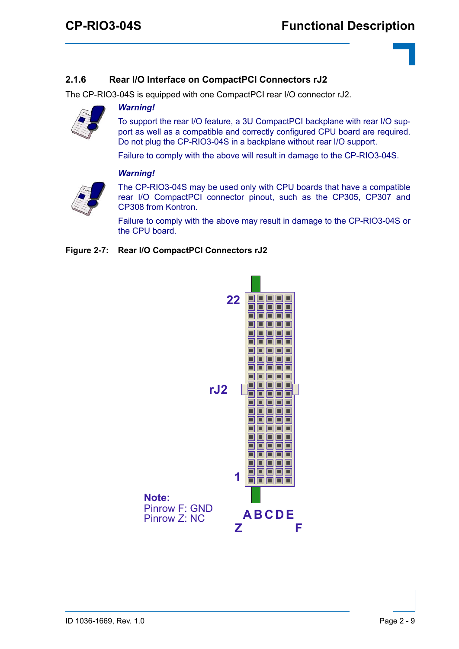# <span id="page-28-0"></span>**2.1.6 Rear I/O Interface on CompactPCI Connectors rJ2**

The CP-RIO3-04S is equipped with one CompactPCI rear I/O connector rJ2.



# *Warning!*

To support the rear I/O feature, a 3U CompactPCI backplane with rear I/O support as well as a compatible and correctly configured CPU board are required. Do not plug the CP-RIO3-04S in a backplane without rear I/O support.

Failure to comply with the above will result in damage to the CP-RIO3-04S.

### *Warning!*



The CP-RIO3-04S may be used only with CPU boards that have a compatible rear I/O CompactPCI connector pinout, such as the CP305, CP307 and CP308 from Kontron.

Failure to comply with the above may result in damage to the CP-RIO3-04S or the CPU board.

### <span id="page-28-1"></span>**Figure 2-7: Rear I/O CompactPCI Connectors rJ2**

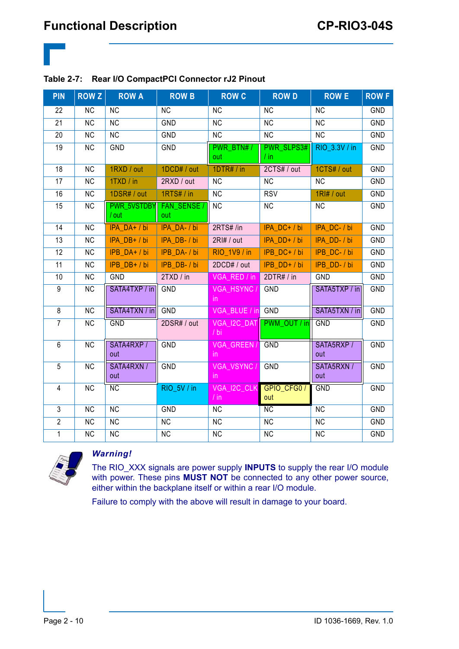

<span id="page-29-0"></span>

|  | Table 2-7: Rear I/O CompactPCI Connector rJ2 Pinout |
|--|-----------------------------------------------------|
|--|-----------------------------------------------------|

| <b>PIN</b>      | <b>ROW Z</b>           | <b>ROW A</b>           | <b>ROW B</b>                     | <b>ROW C</b>           | <b>ROWD</b>               | <b>ROW E</b>           | <b>ROWF</b> |
|-----------------|------------------------|------------------------|----------------------------------|------------------------|---------------------------|------------------------|-------------|
| $\overline{22}$ | <b>NC</b>              | $\overline{\text{NC}}$ | <b>NC</b>                        | $\overline{\text{NC}}$ | <b>NC</b>                 | $\overline{\text{NC}}$ | <b>GND</b>  |
| 21              | NC                     | <b>NC</b>              | GND                              | <b>NC</b>              | <b>NC</b>                 | <b>NC</b>              | GND         |
| $\overline{20}$ | $\overline{\text{NC}}$ | $\overline{\text{NC}}$ | GND                              | $\overline{\text{NC}}$ | NC                        | $\overline{\text{NC}}$ | <b>GND</b>  |
| 19              | NC                     | GND                    | GND                              | PWR BTN#/<br>out       | <b>PWR SLPS3#</b><br>/ in | RIO_3.3V / in          | GND         |
| 18              | $\overline{\text{NC}}$ | 1RXD / out             | 1DCD# / out                      | 1DTR#/in               | 2CTS# / out               | 1CTS# / out            | <b>GND</b>  |
| 17              | NC                     | 1TXD / in              | 2RXD / out                       | <b>NC</b>              | NC                        | <b>NC</b>              | <b>GND</b>  |
| 16              | NC                     | 1DSR# / out            | 1RTS#/in                         | NC                     | <b>RSV</b>                | 1RI# / out             | GND         |
| 15              | NC                     | / out∶                 | PWR_5VSTDBY   FAN_SENSE /<br>out | $\overline{\text{NC}}$ | $\overline{\text{NC}}$    | NC                     | <b>GND</b>  |
| 14              | NC                     | IPA DA+ / bi           | IPA_DA- / bi                     | 2RTS#/in               | IPA DC+ / bi              | IPA DC- / bi           | <b>GND</b>  |
| 13              | NC                     | IPA DB+ / bi           | IPA DB-/bi                       | 2RI# / out             | IPA DD+ / bi              | IPA DD- / bi           | GND         |
| 12              | NC                     | IPB_DA+ / bi           | IPB_DA- / bi                     | RIO_1V9 / in           | IPB_DC+/bi                | IPB_DC-/bi             | <b>GND</b>  |
| 11              | NC                     | IPB DB+ / bi           | IPB DB-/bi                       | 2DCD# / out            | IPB DD+/bi                | IPB DD-/bi             | <b>GND</b>  |
| 10              | NC                     | GND                    | 2TXD / in                        | VGA RED / in           | 2DTR# / in                | GND                    | <b>GND</b>  |
| $\overline{9}$  | NC                     | SATA4TXP / in          | GND                              | VGA HSYNC/<br>in.      | <b>GND</b>                | SATA5TXP / in          | GND         |
| $\overline{8}$  | <b>NC</b>              | SATA4TXN / in          | <b>GND</b>                       | VGA BLUE / in GND      |                           | SATA5TXN / in          | <b>GND</b>  |
| $\overline{7}$  | NC                     | <b>GND</b>             | 2DSR# / out                      | VGA_I2C_DAT<br>/ bi    | <b>PWM OUT/in</b>         | <b>GND</b>             | GND         |
| $\,6\,$         | $\sf NC$               | SATA4RXP /<br>out      | GND                              | VGA_GREEN /<br>in.     | <b>GND</b>                | SATA5RXP /<br>out      | <b>GND</b>  |
| $\overline{5}$  | NC                     | SATA4RXN /<br>out      | <b>GND</b>                       | VGA VSYNC/<br>in.      | <b>GND</b>                | SATA5RXN /<br>out      | <b>GND</b>  |
| $\overline{4}$  | <b>NC</b>              | NC                     | RIO 5V / in                      | VGA_I2C_CLK<br>$/$ in  | GPIO CFG0/<br>out         | <b>GND</b>             | <b>GND</b>  |
| $\overline{3}$  | NC                     | $\overline{\text{NC}}$ | GND                              | NC                     | NC                        | $\overline{\text{NC}}$ | <b>GND</b>  |
| $\overline{2}$  | <b>NC</b>              | NC                     | <b>NC</b>                        | NC                     | <b>NC</b>                 | <b>NC</b>              | GND         |
| $\overline{1}$  | $\overline{\text{NC}}$ | NC                     | $\overline{\text{NC}}$           | $\overline{\text{NC}}$ | NC                        | NC                     | <b>GND</b>  |



# *Warning!*

The RIO\_XXX signals are power supply **INPUTS** to supply the rear I/O module with power. These pins **MUST NOT** be connected to any other power source, either within the backplane itself or within a rear I/O module.

Failure to comply with the above will result in damage to your board.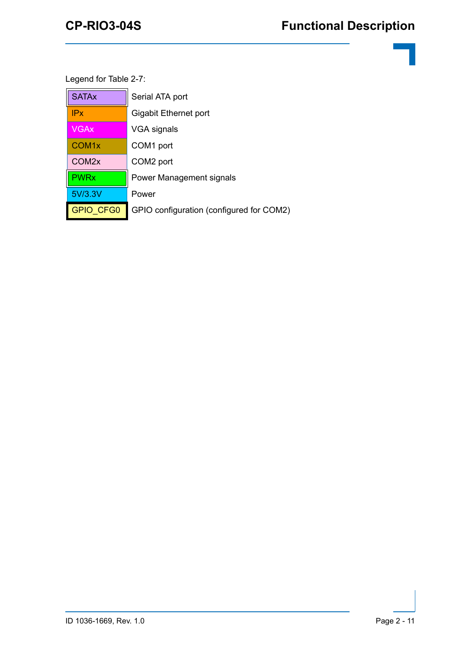Legend for Table 2-7:

| <b>SATAx</b>       | Serial ATA port                          |
|--------------------|------------------------------------------|
| <b>IPx</b>         | Gigabit Ethernet port                    |
| <b>VGAx</b>        | VGA signals                              |
| COM <sub>1</sub> x | COM <sub>1</sub> port                    |
| COM <sub>2</sub> x | COM <sub>2</sub> port                    |
| <b>PWRx</b>        | <b>Power Management signals</b>          |
| 5V/3.3V            | Power                                    |
| <b>GPIO CFG0</b>   | GPIO configuration (configured for COM2) |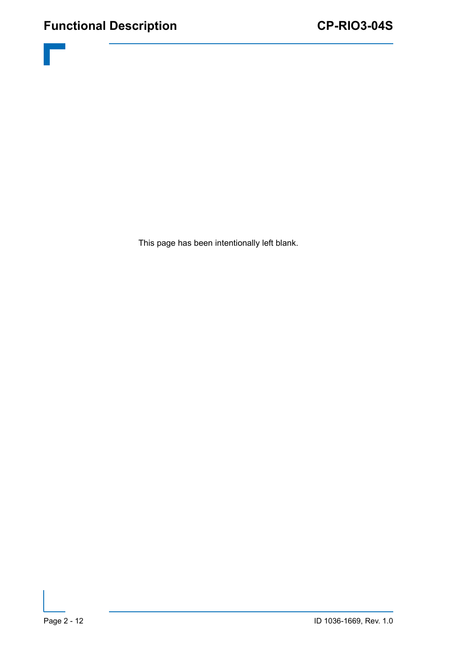

This page has been intentionally left blank.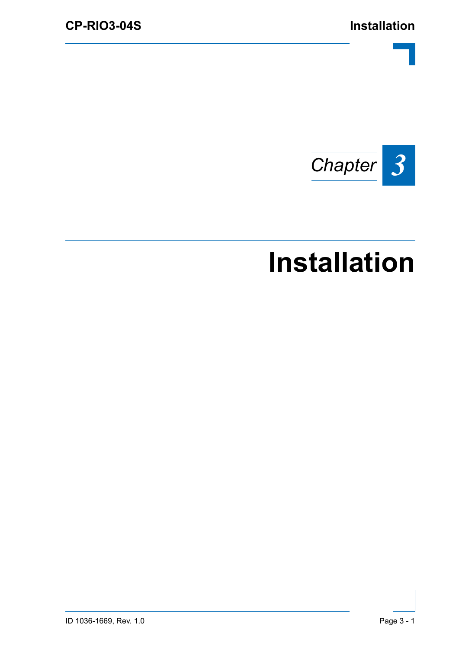

# **Installation**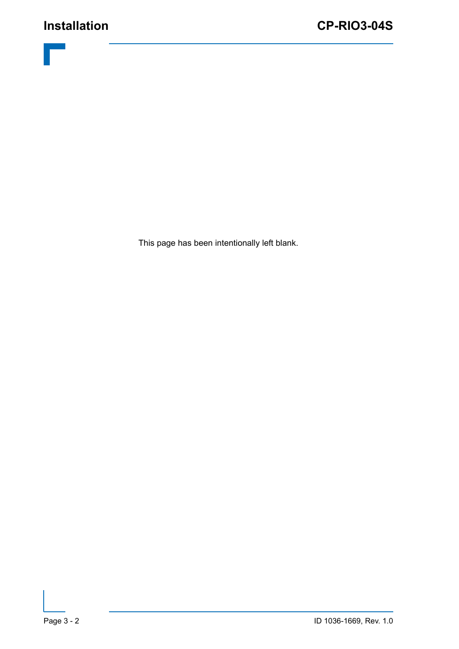

This page has been intentionally left blank.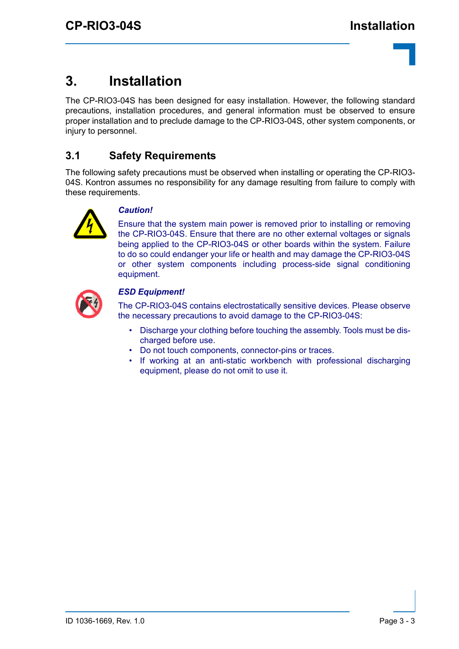

# <span id="page-34-0"></span>**3. Installation**

The CP-RIO3-04S has been designed for easy installation. However, the following standard precautions, installation procedures, and general information must be observed to ensure proper installation and to preclude damage to the CP-RIO3-04S, other system components, or injury to personnel.

# <span id="page-34-1"></span>**3.1 Safety Requirements**

The following safety precautions must be observed when installing or operating the CP-RIO3- 04S. Kontron assumes no responsibility for any damage resulting from failure to comply with these requirements.



# *Caution!*

Ensure that the system main power is removed prior to installing or removing the CP-RIO3-04S. Ensure that there are no other external voltages or signals being applied to the CP-RIO3-04S or other boards within the system. Failure to do so could endanger your life or health and may damage the CP-RIO3-04S or other system components including process-side signal conditioning equipment.



# *ESD Equipment!*

The CP-RIO3-04S contains electrostatically sensitive devices. Please observe the necessary precautions to avoid damage to the CP-RIO3-04S:

- Discharge your clothing before touching the assembly. Tools must be discharged before use.
- Do not touch components, connector-pins or traces.
- If working at an anti-static workbench with professional discharging equipment, please do not omit to use it.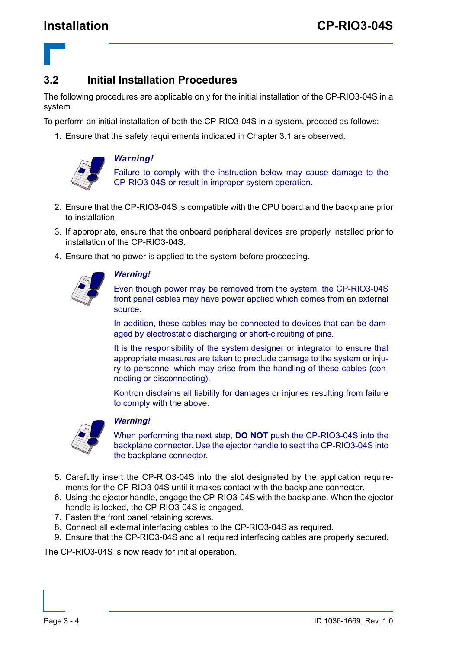

# <span id="page-35-0"></span>**3.2 Initial Installation Procedures**

The following procedures are applicable only for the initial installation of the CP-RIO3-04S in a system.

To perform an initial installation of both the CP-RIO3-04S in a system, proceed as follows:

1. Ensure that the safety requirements indicated in Chapter 3.1 are observed.



# *Warning!*

Failure to comply with the instruction below may cause damage to the CP-RIO3-04S or result in improper system operation.

- 2. Ensure that the CP-RIO3-04S is compatible with the CPU board and the backplane prior to installation.
- 3. If appropriate, ensure that the onboard peripheral devices are properly installed prior to installation of the CP-RIO3-04S.
- 4. Ensure that no power is applied to the system before proceeding.



## *Warning!*

Even though power may be removed from the system, the CP-RIO3-04S front panel cables may have power applied which comes from an external source.

In addition, these cables may be connected to devices that can be damaged by electrostatic discharging or short-circuiting of pins.

It is the responsibility of the system designer or integrator to ensure that appropriate measures are taken to preclude damage to the system or injury to personnel which may arise from the handling of these cables (connecting or disconnecting).

Kontron disclaims all liability for damages or injuries resulting from failure to comply with the above.



## *Warning!*

When performing the next step, **DO NOT** push the CP-RIO3-04S into the backplane connector. Use the ejector handle to seat the CP-RIO3-04S into the backplane connector.

- 5. Carefully insert the CP-RIO3-04S into the slot designated by the application requirements for the CP-RIO3-04S until it makes contact with the backplane connector.
- 6. Using the ejector handle, engage the CP-RIO3-04S with the backplane. When the ejector handle is locked, the CP-RIO3-04S is engaged.
- 7. Fasten the front panel retaining screws.
- 8. Connect all external interfacing cables to the CP-RIO3-04S as required.
- 9. Ensure that the CP-RIO3-04S and all required interfacing cables are properly secured.

The CP-RIO3-04S is now ready for initial operation.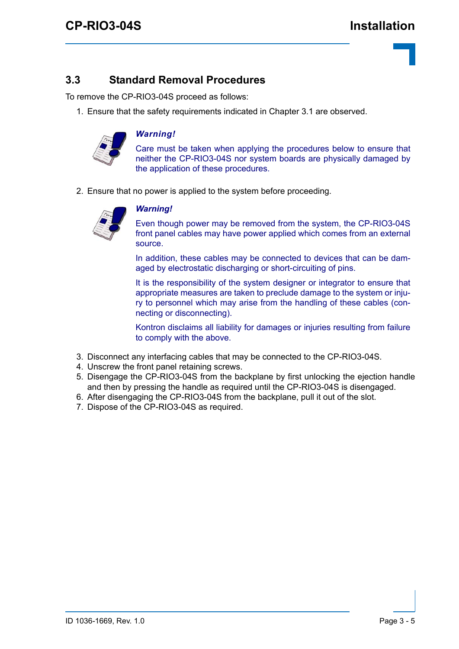# <span id="page-36-0"></span>**3.3 Standard Removal Procedures**

To remove the CP-RIO3-04S proceed as follows:

1. Ensure that the safety requirements indicated in Chapter 3.1 are observed.



## *Warning!*

Care must be taken when applying the procedures below to ensure that neither the CP-RIO3-04S nor system boards are physically damaged by the application of these procedures.

2. Ensure that no power is applied to the system before proceeding.



### *Warning!*

Even though power may be removed from the system, the CP-RIO3-04S front panel cables may have power applied which comes from an external source.

In addition, these cables may be connected to devices that can be damaged by electrostatic discharging or short-circuiting of pins.

It is the responsibility of the system designer or integrator to ensure that appropriate measures are taken to preclude damage to the system or injury to personnel which may arise from the handling of these cables (connecting or disconnecting).

Kontron disclaims all liability for damages or injuries resulting from failure to comply with the above.

- 3. Disconnect any interfacing cables that may be connected to the CP-RIO3-04S.
- 4. Unscrew the front panel retaining screws.
- 5. Disengage the CP-RIO3-04S from the backplane by first unlocking the ejection handle and then by pressing the handle as required until the CP-RIO3-04S is disengaged.
- 6. After disengaging the CP-RIO3-04S from the backplane, pull it out of the slot.
- 7. Dispose of the CP-RIO3-04S as required.